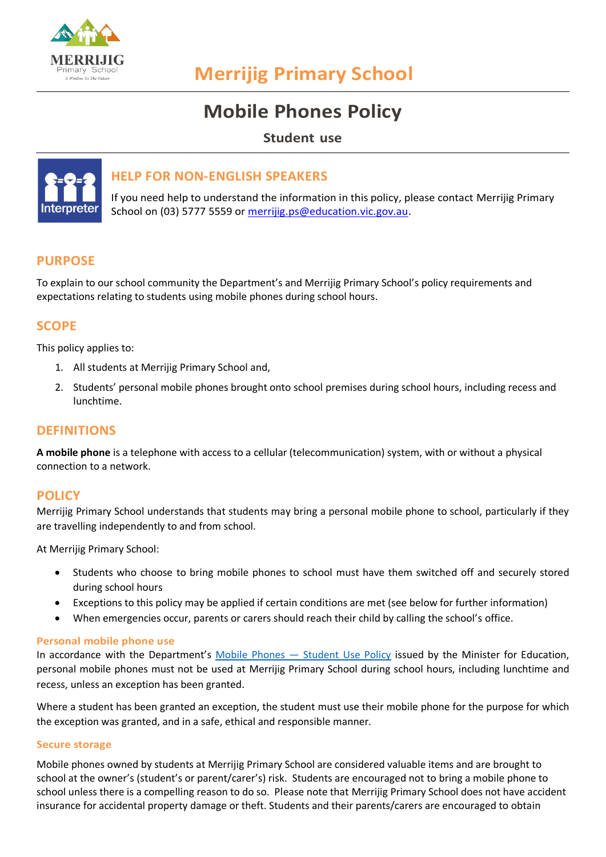

# **Merrijig Primary School**

# **Mobile Phones Policy**

**Student use**



# **HELP FOR NON-ENGLISH SPEAKERS**

If you need help to understand the information in this policy, please contact Merrijig Primary School on (03) 5777 5559 or [merrijig.ps@education.vic.gov.au.](mailto:merrijig.ps@education.vic.gov.au)

# **PURPOSE**

To explain to our school community the Department's and Merrijig Primary School's policy requirements and expectations relating to students using mobile phones during school hours.

## **SCOPE**

This policy applies to:

- 1. All students at Merrijig Primary School and,
- 2. Students' personal mobile phones brought onto school premises during school hours, including recess and lunchtime.

## **DEFINITIONS**

**A mobile phone** is a telephone with access to a cellular (telecommunication) system, with or without a physical connection to a network.

## **POLICY**

Merrijig Primary School understands that students may bring a personal mobile phone to school, particularly if they are travelling independently to and from school.

At Merrijig Primary School:

- Students who choose to bring mobile phones to school must have them switched off and securely stored during school hours
- Exceptions to this policy may be applied if certain conditions are met (see below for further information)
- When emergencies occur, parents or carers should reach their child by calling the school's office.

#### **Personal mobile phone use**

In accordance with the Department's Mobile Phones - [Student Use Policy](https://www2.education.vic.gov.au/pal/students-using-mobile-phones/policy) issued by the Minister for Education, personal mobile phones must not be used at Merrijig Primary School during school hours, including lunchtime and recess, unless an exception has been granted.

Where a student has been granted an exception, the student must use their mobile phone for the purpose for which the exception was granted, and in a safe, ethical and responsible manner.

#### **Secure storage**

Mobile phones owned by students at Merrijig Primary School are considered valuable items and are brought to school at the owner's (student's or parent/carer's) risk. Students are encouraged not to bring a mobile phone to school unless there is a compelling reason to do so. Please note that Merrijig Primary School does not have accident insurance for accidental property damage or theft. Students and their parents/carers are encouraged to obtain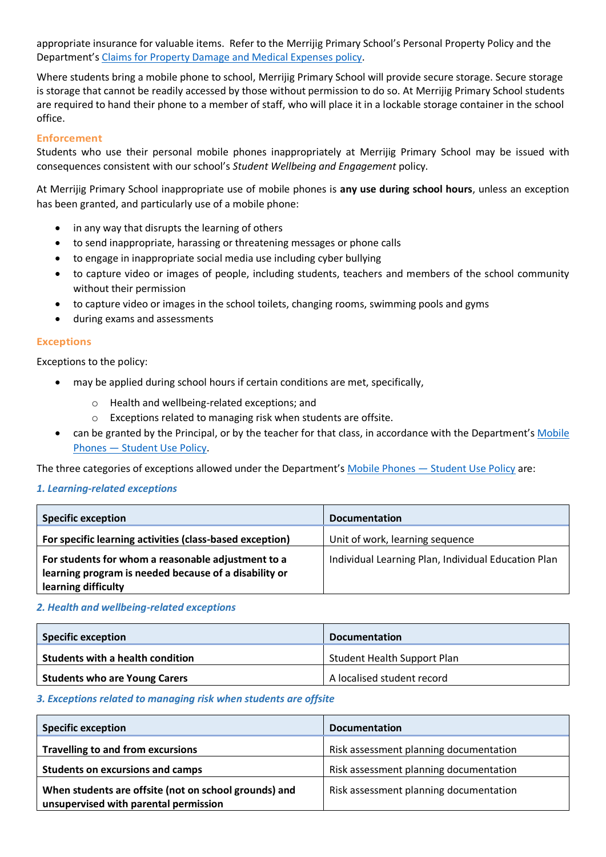appropriate insurance for valuable items. Refer to the Merrijig Primary School's Personal Property Policy and the Department's [Claims for Property Damage and Medical Expenses](https://www2.education.vic.gov.au/pal/claims-property-damage-and-medical-expenses/policy) policy.

Where students bring a mobile phone to school, Merrijig Primary School will provide secure storage. Secure storage is storage that cannot be readily accessed by those without permission to do so. At Merrijig Primary School students are required to hand their phone to a member of staff, who will place it in a lockable storage container in the school office.

#### **Enforcement**

Students who use their personal mobile phones inappropriately at Merrijig Primary School may be issued with consequences consistent with our school's *Student Wellbeing and Engagement* policy.

At Merrijig Primary School inappropriate use of mobile phones is **any use during school hours**, unless an exception has been granted, and particularly use of a mobile phone:

- in any way that disrupts the learning of others
- to send inappropriate, harassing or threatening messages or phone calls
- to engage in inappropriate social media use including cyber bullying
- to capture video or images of people, including students, teachers and members of the school community without their permission
- to capture video or images in the school toilets, changing rooms, swimming pools and gyms
- during exams and assessments

#### **Exceptions**

Exceptions to the policy:

- may be applied during school hours if certain conditions are met, specifically,
	- o Health and wellbeing-related exceptions; and
	- o Exceptions related to managing risk when students are offsite.
- can be granted by the Principal, or by the teacher for that class, in accordance with the Department's Mobile Phones — [Student Use Policy.](https://www2.education.vic.gov.au/pal/students-using-mobile-phones/policy)

The three categories of exceptions allowed under the Department's Mobile Phones — [Student Use Policy](https://www2.education.vic.gov.au/pal/students-using-mobile-phones/policy) are:

#### *1. Learning-related exceptions*

| <b>Specific exception</b>                                                                                                          | <b>Documentation</b>                                |
|------------------------------------------------------------------------------------------------------------------------------------|-----------------------------------------------------|
| For specific learning activities (class-based exception)                                                                           | Unit of work, learning sequence                     |
| For students for whom a reasonable adjustment to a<br>learning program is needed because of a disability or<br>learning difficulty | Individual Learning Plan, Individual Education Plan |

#### *2. Health and wellbeing-related exceptions*

| <b>Specific exception</b>            | <b>Documentation</b>               |
|--------------------------------------|------------------------------------|
| Students with a health condition     | <b>Student Health Support Plan</b> |
| <b>Students who are Young Carers</b> | A localised student record         |

#### *3. Exceptions related to managing risk when students are offsite*

| <b>Specific exception</b>                                                                      | <b>Documentation</b>                   |
|------------------------------------------------------------------------------------------------|----------------------------------------|
| <b>Travelling to and from excursions</b>                                                       | Risk assessment planning documentation |
| <b>Students on excursions and camps</b>                                                        | Risk assessment planning documentation |
| When students are offsite (not on school grounds) and<br>unsupervised with parental permission | Risk assessment planning documentation |